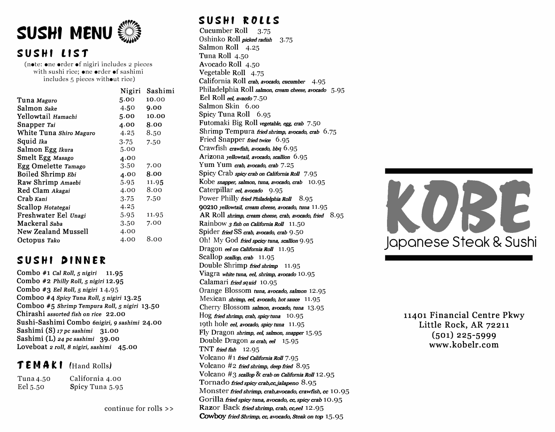

### **SUSHI llSf**

(note: one order of nigiri includes 2 pieces with sushi rice: one order of sashimi includes 5 pieces without rice)

|                            | Nigiri | Sashimi |
|----------------------------|--------|---------|
| Tuna <i>Maguro</i>         | 5.00   | 10.00   |
| Salmon Sake                | 4.50   | 9.00    |
| Yellowtail Hamachi         | 5.00   | 10.00   |
| Snapper Tai                | 4.00   | 8.00    |
| White Tuna Shiro Maguro    | 4.25   | 8.50    |
| Squid Ika                  | 3.75   | 7.50    |
| Salmon Egg Ikura           | 5.00   |         |
| <b>Smelt Egg Masago</b>    | 4.00   |         |
| Egg Omelette Tamago        | 3.50   | 7.00    |
| <b>Boiled Shrimp Ebi</b>   | 4.00   | 8.00    |
| Raw Shrimp Amaebi          | 5.95   | 11.95   |
| Red Clam Akagai            | 4.00   | 8.00    |
| Crab Kani                  | 3.75   | 7.50    |
| Scallop Hotategai          | 4.25   |         |
| Freshwater Eel Unagi       | 5.95   | 11.95   |
| Mackeral Saba              | 3.50   | 7.00    |
| <b>New Zealand Mussell</b> | 4.00   |         |
| Octopus Tako               | 4.00   | 8.00    |
|                            |        |         |

## SUSHI DINNER

Combo #1 *Cal Roll, 5 nigiri* 11.95 Combo #2 *Philly Roll,* s *nigiri* 12.95 Combo #3 *Eel Roll, 5 nigiri* 14.95 Comboo #4 *Spicy Tuna Roll, 5 nigiri* 13.25 Comboo #5 *Shrimp Tempura Roll, 5 nigiri* 13.50 Chirashi *assorted fish on rice* 22.00 Sushi-Sashimi Combo 6*nigiri,* 9 *sashimi* 24.00 Sashimi (S) *<sup>17</sup> pc sashimi* 31.00 Sashimi (L) *<sup>24</sup>pc sashimi* 39.00 Loveboat <sup>2</sup>*roll, 8 nigiri, sashimi* 45.00

### **f £ M A K I** (Hand Rolls)

| Tuna 4.50 |
|-----------|
| Eel 5.50  |

California 4.00 Spicy Tuna 5.95

continue for rolls > >

## SUSHI ROLLS

Cucumber Roll 3.75 Oshinko Roll *picked radish* 3.75 Salmon Roll 4.25 Tuna Roll 4.50 Avocado Roll 4.50 Vegetable Roll 4.75 California Roll crab, avocado, cucumber 4.95 Philadelphia Roll salmon, cream cheese, avocado 5.95 Eel Roll eel, avacdo 7.50 Salmon Skin 6.oo Spicy Tuna Roll 6.95 Futomaki Big Roll vegetable, egg, crab 7.50 Shrimp Tempura fried shrimp, avocado, crab 6.75 Fried Snapper fried twice 6.95 Crawfish crawfish, avocado, bb*q* 6.95 Arizona yellowtail, avocado, scallion 6.95 Yum Yum crab, avocado, crab 7.25 Spicy Crab *spicy crab on California Roll* 7.95 Kobe snapper, salmon, tuna, avocado, crab 10.95 Caterpillar eel, avocado 9.95 Power Philly *fried Philadelphia Roll* 8.95 90210 yellowtail, cream cheese, avocado, tuna 11.95 AR Roll shrimp, cream cheese, crab, avocado, fried 8.95 Rainbow 3 fish on California Roll 11.50 Spider fried SS crab, avocado, crab 9.50 Oh! My God fried spcicy tuna, scallion  $9.95$ Dragon eel on California Roll 11.95 Scallop scallop, crab 11.95 Double Shrimp fried shrimp 11.95 Viagra white tuna, eel, shrimp, avocado 10.95 Calamari fried s*q*uid 10.95 Orange Blossom tuna, avocado, salmon 12.95 Mexican shrimp, eel, avocado, hot sauce 11.95 Cherry Blossom salmon, avocado, tuna 13.95 Hog fried shrimp, crab, spicy tuna 10.95 19th hole eel, avocado, spicy tuna  $11.95$ Fly Dragon shrimp, eel, salmon, snapper 15.95 Double Dragon ss crab, eel 15.95 TNT fried fish 12.95 Volcano #1 fried California Roll 7.95 Volcano  $#2$  fried shrimp, deep fried  $8.95$ Volcano #3 scallop & crab on California Roll 12.95 Tornado fried spicy crab,cc, jalapeno 8.95 Monster fried shrimp, crab,avocado, crawfish, cc  $10.95$ Gorilla fried spicy tuna, avocado, cc, spicy crab 10.95 Razor Back fried shrimp, crab, cc, eel 12.95 Cowboy fried Shrimp, cc, avocado, Steak on top 15.95



**11401 Financial Centre Pkwy Little Rock, AR 72211** (501) 225-5999 **www.kobelr.com**